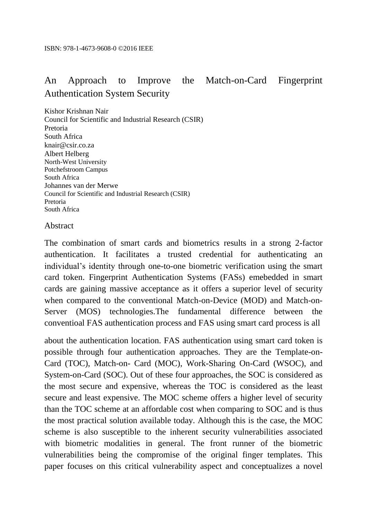## An Approach to Improve the Match-on-Card Fingerprint Authentication System Security

Kishor Krishnan Nair Council for Scientific and Industrial Research (CSIR) Pretoria South Africa knair@csir.co.za Albert Helberg North-West University Potchefstroom Campus South Africa Johannes van der Merwe Council for Scientific and Industrial Research (CSIR) Pretoria South Africa

## Abstract

The combination of smart cards and biometrics results in a strong 2-factor authentication. It facilitates a trusted credential for authenticating an individual's identity through one-to-one biometric verification using the smart card token. Fingerprint Authentication Systems (FASs) emebedded in smart cards are gaining massive acceptance as it offers a superior level of security when compared to the conventional Match-on-Device (MOD) and Match-on-Server (MOS) technologies.The fundamental difference between the conventioal FAS authentication process and FAS using smart card process is all

about the authentication location. FAS authentication using smart card token is possible through four authentication approaches. They are the Template-on-Card (TOC), Match-on- Card (MOC), Work-Sharing On-Card (WSOC), and System-on-Card (SOC). Out of these four approaches, the SOC is considered as the most secure and expensive, whereas the TOC is considered as the least secure and least expensive. The MOC scheme offers a higher level of security than the TOC scheme at an affordable cost when comparing to SOC and is thus the most practical solution available today. Although this is the case, the MOC scheme is also susceptible to the inherent security vulnerabilities associated with biometric modalities in general. The front runner of the biometric vulnerabilities being the compromise of the original finger templates. This paper focuses on this critical vulnerability aspect and conceptualizes a novel